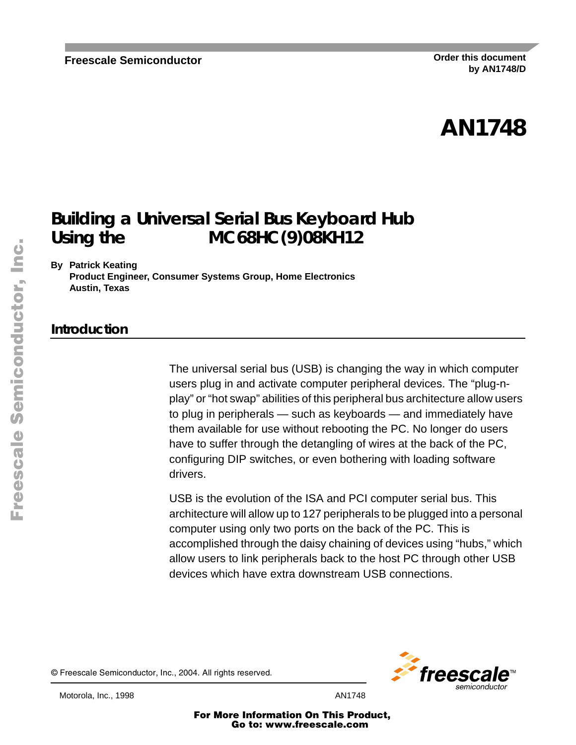# **AN1748**

# **Building a Universal Serial Bus Keyboard Hub** Using the MC68HC(9)08KH12

**By Patrick Keating**

**Product Engineer, Consumer Systems Group, Home Electronics Austin, Texas**

### **Introduction**

The universal serial bus (USB) is changing the way in which computer users plug in and activate computer peripheral devices. The "plug-nplay" or "hot swap" abilities of this peripheral bus architecture allow users to plug in peripherals — such as keyboards — and immediately have them available for use without rebooting the PC. No longer do users have to suffer through the detangling of wires at the back of the PC, configuring DIP switches, or even bothering with loading software drivers.

USB is the evolution of the ISA and PCI computer serial bus. This architecture will allow up to 127 peripherals to be plugged into a personal computer using only two ports on the back of the PC. This is accomplished through the daisy chaining of devices using "hubs," which allow users to link peripherals back to the host PC through other USB devices which have extra downstream USB connections.

© Freescale Semiconductor, Inc., 2004. All rights reserved.



Motorola, Inc., 1998 AN1748

For More Information On This Product, Go to: www.freescale.com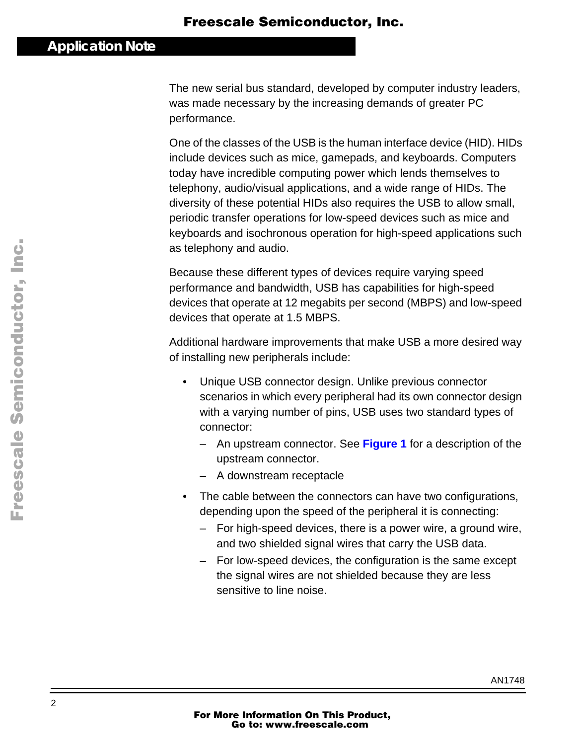The new serial bus standard, developed by computer industry leaders, was made necessary by the increasing demands of greater PC performance.

One of the classes of the USB is the human interface device (HID). HIDs include devices such as mice, gamepads, and keyboards. Computers today have incredible computing power which lends themselves to telephony, audio/visual applications, and a wide range of HIDs. The diversity of these potential HIDs also requires the USB to allow small, periodic transfer operations for low-speed devices such as mice and keyboards and isochronous operation for high-speed applications such as telephony and audio.

Because these different types of devices require varying speed performance and bandwidth, USB has capabilities for high-speed devices that operate at 12 megabits per second (MBPS) and low-speed devices that operate at 1.5 MBPS.

Additional hardware improvements that make USB a more desired way of installing new peripherals include:

- Unique USB connector design. Unlike previous connector scenarios in which every peripheral had its own connector design with a varying number of pins, USB uses two standard types of connector:
	- An upstream connector. See **[Figure 1](#page-2-0)** for a description of the upstream connector.
	- A downstream receptacle
- The cable between the connectors can have two configurations, depending upon the speed of the peripheral it is connecting:
	- For high-speed devices, there is a power wire, a ground wire, and two shielded signal wires that carry the USB data.
	- For low-speed devices, the configuration is the same except the signal wires are not shielded because they are less sensitive to line noise.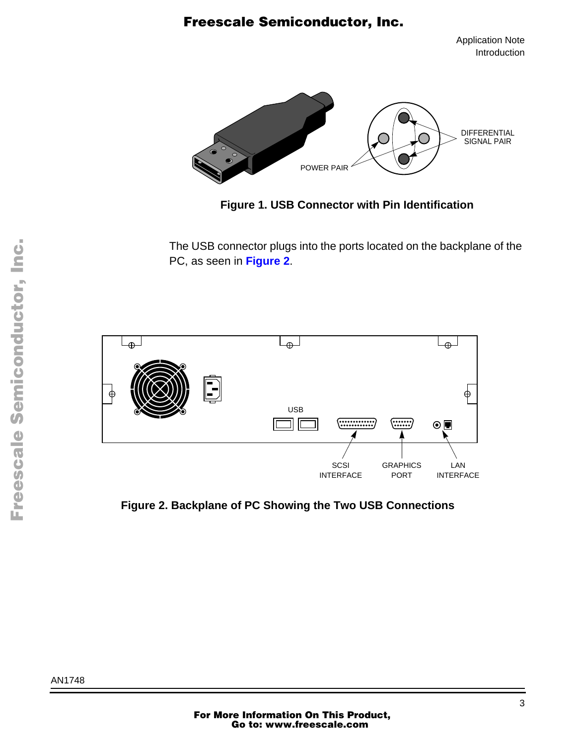Application Note Introduction

<span id="page-2-0"></span>

**Figure 1. USB Connector with Pin Identification**

The USB connector plugs into the ports located on the backplane of the PC, as seen in **Figure 2**.



**Figure 2. Backplane of PC Showing the Two USB Connections**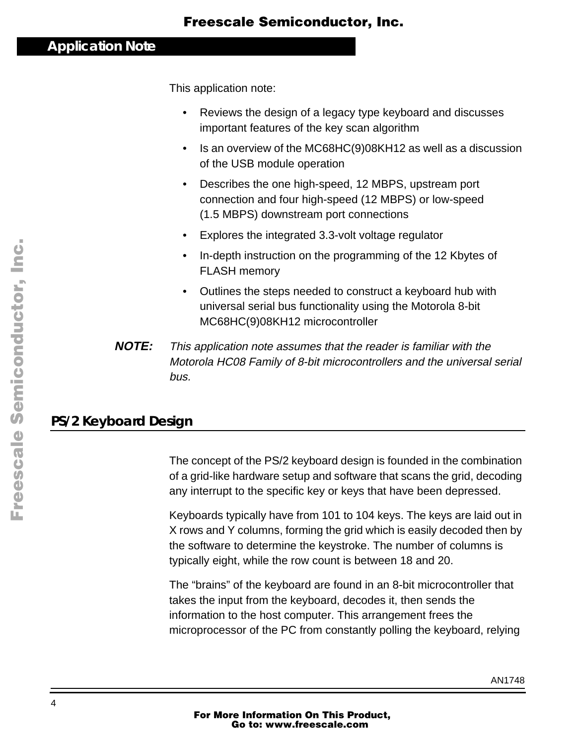This application note:

- Reviews the design of a legacy type keyboard and discusses important features of the key scan algorithm
- Is an overview of the MC68HC(9)08KH12 as well as a discussion of the USB module operation
- Describes the one high-speed, 12 MBPS, upstream port connection and four high-speed (12 MBPS) or low-speed (1.5 MBPS) downstream port connections
- Explores the integrated 3.3-volt voltage regulator
- In-depth instruction on the programming of the 12 Kbytes of FLASH memory
- Outlines the steps needed to construct a keyboard hub with universal serial bus functionality using the Motorola 8-bit MC68HC(9)08KH12 microcontroller
- **NOTE:** This application note assumes that the reader is familiar with the Motorola HC08 Family of 8-bit microcontrollers and the universal serial bus.

### **PS/2 Keyboard Design**

The concept of the PS/2 keyboard design is founded in the combination of a grid-like hardware setup and software that scans the grid, decoding any interrupt to the specific key or keys that have been depressed.

Keyboards typically have from 101 to 104 keys. The keys are laid out in X rows and Y columns, forming the grid which is easily decoded then by the software to determine the keystroke. The number of columns is typically eight, while the row count is between 18 and 20.

The "brains" of the keyboard are found in an 8-bit microcontroller that takes the input from the keyboard, decodes it, then sends the information to the host computer. This arrangement frees the microprocessor of the PC from constantly polling the keyboard, relying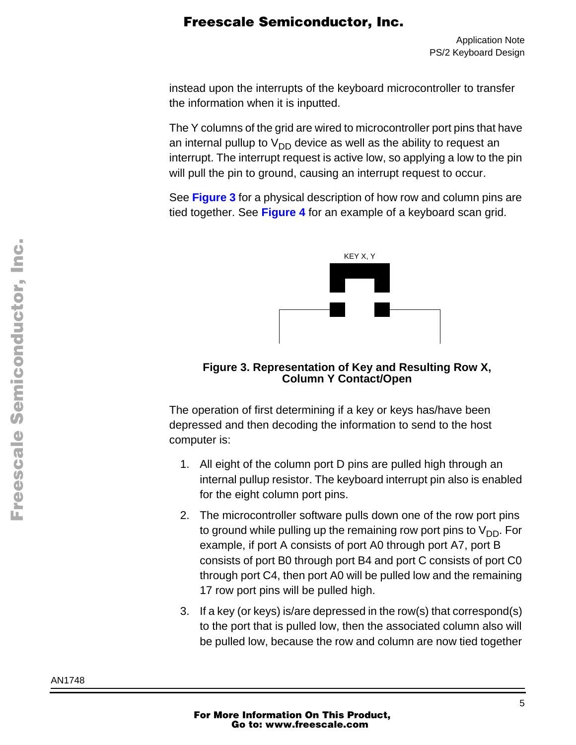<span id="page-4-0"></span>instead upon the interrupts of the keyboard microcontroller to transfer the information when it is inputted.

The Y columns of the grid are wired to microcontroller port pins that have an internal pullup to  $V_{DD}$  device as well as the ability to request an interrupt. The interrupt request is active low, so applying a low to the pin will pull the pin to ground, causing an interrupt request to occur.

See **Figure 3** for a physical description of how row and column pins are tied together. See **[Figure 4](#page-6-0)** for an example of a keyboard scan grid.



**Figure 3. Representation of Key and Resulting Row X, Column Y Contact/Open**

The operation of first determining if a key or keys has/have been depressed and then decoding the information to send to the host computer is:

- 1. All eight of the column port D pins are pulled high through an internal pullup resistor. The keyboard interrupt pin also is enabled for the eight column port pins.
- 2. The microcontroller software pulls down one of the row port pins to ground while pulling up the remaining row port pins to  $V_{DD}$ . For example, if port A consists of port A0 through port A7, port B consists of port B0 through port B4 and port C consists of port C0 through port C4, then port A0 will be pulled low and the remaining 17 row port pins will be pulled high.
- 3. If a key (or keys) is/are depressed in the row(s) that correspond(s) to the port that is pulled low, then the associated column also will be pulled low, because the row and column are now tied together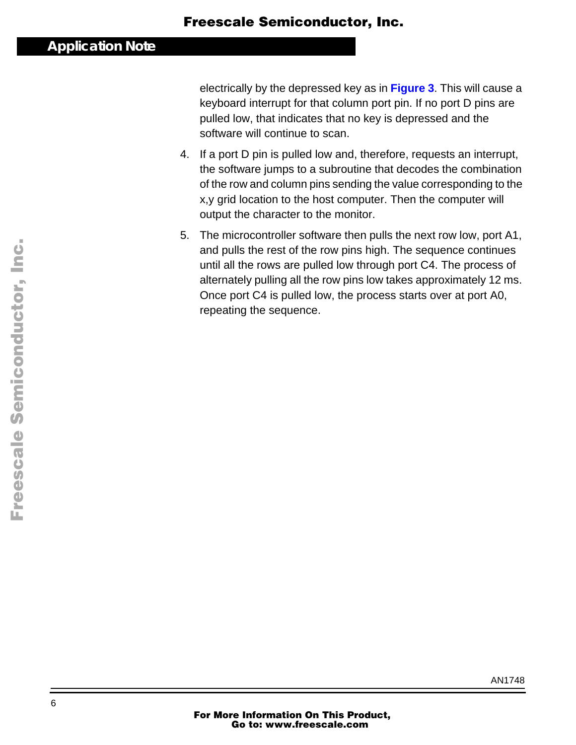electrically by the depressed key as in **[Figure 3](#page-4-0)**. This will cause a keyboard interrupt for that column port pin. If no port D pins are pulled low, that indicates that no key is depressed and the software will continue to scan.

- 4. If a port D pin is pulled low and, therefore, requests an interrupt, the software jumps to a subroutine that decodes the combination of the row and column pins sending the value corresponding to the x,y grid location to the host computer. Then the computer will output the character to the monitor.
- 5. The microcontroller software then pulls the next row low, port A1, and pulls the rest of the row pins high. The sequence continues until all the rows are pulled low through port C4. The process of alternately pulling all the row pins low takes approximately 12 ms. Once port C4 is pulled low, the process starts over at port A0, repeating the sequence.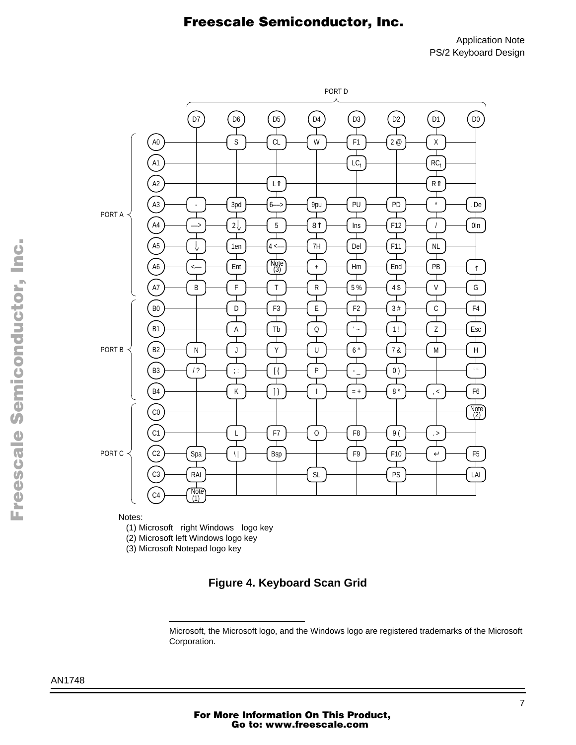Application Note PS/2 Keyboard Design

<span id="page-6-0"></span>

Notes:

(1) Microsoft® right Windows<sup>®</sup> logo key

(2) Microsoft left Windows logo key

(3) Microsoft Notepad logo key

#### **Figure 4. Keyboard Scan Grid**

Microsoft, the Microsoft logo, and the Windows logo are registered trademarks of the Microsoft Corporation.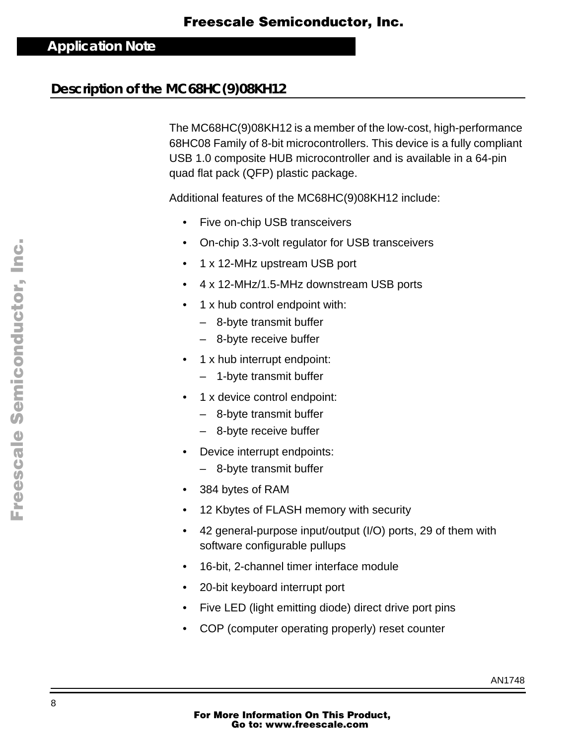### **Description of the MC68HC(9)08KH12**

The MC68HC(9)08KH12 is a member of the low-cost, high-performance 68HC08 Family of 8-bit microcontrollers. This device is a fully compliant USB 1.0 composite HUB microcontroller and is available in a 64-pin quad flat pack (QFP) plastic package.

Additional features of the MC68HC(9)08KH12 include:

- Five on-chip USB transceivers
- On-chip 3.3-volt regulator for USB transceivers
- 1 x 12-MHz upstream USB port
- 4 x 12-MHz/1.5-MHz downstream USB ports
- 1 x hub control endpoint with:
	- 8-byte transmit buffer
	- 8-byte receive buffer
- 1 x hub interrupt endpoint:
	- 1-byte transmit buffer
- 1 x device control endpoint:
	- 8-byte transmit buffer
	- 8-byte receive buffer
- Device interrupt endpoints:
	- 8-byte transmit buffer
- 384 bytes of RAM
- 12 Kbytes of FLASH memory with security
- 42 general-purpose input/output (I/O) ports, 29 of them with software configurable pullups
- 16-bit, 2-channel timer interface module
- 20-bit keyboard interrupt port
- Five LED (light emitting diode) direct drive port pins
- COP (computer operating properly) reset counter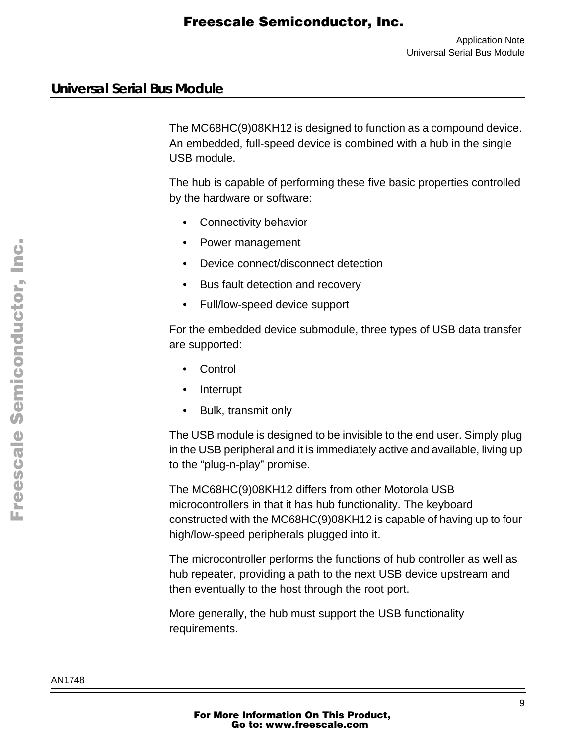### **Universal Serial Bus Module**

The MC68HC(9)08KH12 is designed to function as a compound device. An embedded, full-speed device is combined with a hub in the single USB module.

The hub is capable of performing these five basic properties controlled by the hardware or software:

- Connectivity behavior
- Power management
- Device connect/disconnect detection
- Bus fault detection and recovery
- Full/low-speed device support

For the embedded device submodule, three types of USB data transfer are supported:

- Control
- Interrupt
- Bulk, transmit only

The USB module is designed to be invisible to the end user. Simply plug in the USB peripheral and it is immediately active and available, living up to the "plug-n-play" promise.

The MC68HC(9)08KH12 differs from other Motorola USB microcontrollers in that it has hub functionality. The keyboard constructed with the MC68HC(9)08KH12 is capable of having up to four high/low-speed peripherals plugged into it.

The microcontroller performs the functions of hub controller as well as hub repeater, providing a path to the next USB device upstream and then eventually to the host through the root port.

More generally, the hub must support the USB functionality requirements.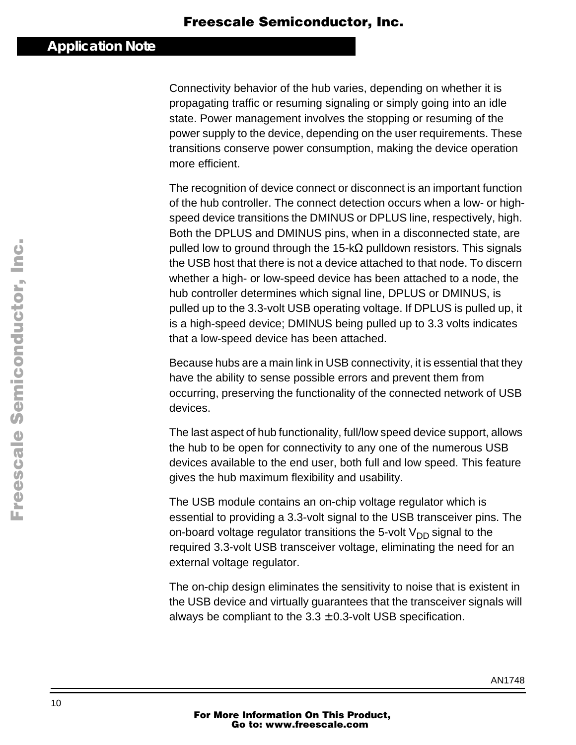Connectivity behavior of the hub varies, depending on whether it is propagating traffic or resuming signaling or simply going into an idle state. Power management involves the stopping or resuming of the power supply to the device, depending on the user requirements. These transitions conserve power consumption, making the device operation more efficient.

The recognition of device connect or disconnect is an important function of the hub controller. The connect detection occurs when a low- or highspeed device transitions the DMINUS or DPLUS line, respectively, high. Both the DPLUS and DMINUS pins, when in a disconnected state, are pulled low to ground through the 15-k $\Omega$  pulldown resistors. This signals the USB host that there is not a device attached to that node. To discern whether a high- or low-speed device has been attached to a node, the hub controller determines which signal line, DPLUS or DMINUS, is pulled up to the 3.3-volt USB operating voltage. If DPLUS is pulled up, it is a high-speed device; DMINUS being pulled up to 3.3 volts indicates that a low-speed device has been attached.

Because hubs are a main link in USB connectivity, it is essential that they have the ability to sense possible errors and prevent them from occurring, preserving the functionality of the connected network of USB devices.

The last aspect of hub functionality, full/low speed device support, allows the hub to be open for connectivity to any one of the numerous USB devices available to the end user, both full and low speed. This feature gives the hub maximum flexibility and usability.

The USB module contains an on-chip voltage regulator which is essential to providing a 3.3-volt signal to the USB transceiver pins. The on-board voltage regulator transitions the 5-volt  $V_{DD}$  signal to the required 3.3-volt USB transceiver voltage, eliminating the need for an external voltage regulator.

The on-chip design eliminates the sensitivity to noise that is existent in the USB device and virtually guarantees that the transceiver signals will always be compliant to the  $3.3 \pm 0.3$ -volt USB specification.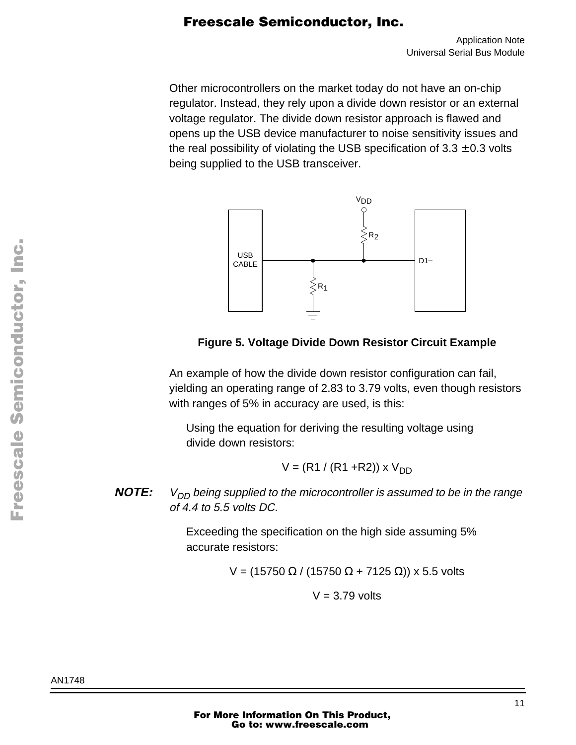Other microcontrollers on the market today do not have an on-chip regulator. Instead, they rely upon a divide down resistor or an external voltage regulator. The divide down resistor approach is flawed and opens up the USB device manufacturer to noise sensitivity issues and the real possibility of violating the USB specification of  $3.3 \pm 0.3$  volts being supplied to the USB transceiver.



**Figure 5. Voltage Divide Down Resistor Circuit Example**

An example of how the divide down resistor configuration can fail, yielding an operating range of 2.83 to 3.79 volts, even though resistors with ranges of 5% in accuracy are used, is this:

Using the equation for deriving the resulting voltage using divide down resistors:

$$
V = (R1 / (R1 + R2)) \times V_{DD}
$$

**NOTE:**  $V_{DD}$  being supplied to the microcontroller is assumed to be in the range of 4.4 to 5.5 volts DC.

> Exceeding the specification on the high side assuming 5% accurate resistors:

> > V = (15750 Ω / (15750 Ω + 7125 Ω)) x 5.5 volts

 $V = 3.79$  volts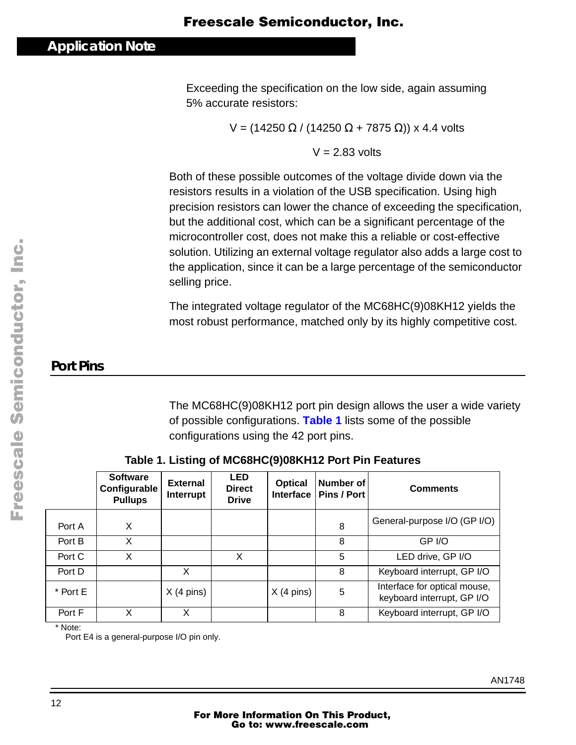Exceeding the specification on the low side, again assuming 5% accurate resistors:

V = (14250 Ω / (14250 Ω + 7875 Ω)) x 4.4 volts

 $V = 2.83$  volts

Both of these possible outcomes of the voltage divide down via the resistors results in a violation of the USB specification. Using high precision resistors can lower the chance of exceeding the specification, but the additional cost, which can be a significant percentage of the microcontroller cost, does not make this a reliable or cost-effective solution. Utilizing an external voltage regulator also adds a large cost to the application, since it can be a large percentage of the semiconductor selling price.

The integrated voltage regulator of the MC68HC(9)08KH12 yields the most robust performance, matched only by its highly competitive cost.

# **Port Pins**

The MC68HC(9)08KH12 port pin design allows the user a wide variety of possible configurations. **Table 1** lists some of the possible configurations using the 42 port pins.

|          | <b>Software</b><br>Configurable<br><b>Pullups</b> | <b>External</b><br>Interrupt | <b>LED</b><br><b>Direct</b><br><b>Drive</b> | <b>Optical</b><br><b>Interface</b> | Number of<br>Pins / Port | <b>Comments</b>                                            |
|----------|---------------------------------------------------|------------------------------|---------------------------------------------|------------------------------------|--------------------------|------------------------------------------------------------|
| Port A   | X                                                 |                              |                                             |                                    | 8                        | General-purpose I/O (GP I/O)                               |
| Port B   | x                                                 |                              |                                             |                                    | 8                        | GP I/O                                                     |
| Port C   | X                                                 |                              | X                                           |                                    | 5                        | LED drive, GP I/O                                          |
| Port D   |                                                   | X                            |                                             |                                    | 8                        | Keyboard interrupt, GP I/O                                 |
| * Port E |                                                   | $X(4 \text{ pins})$          |                                             | $X(4 \text{ pins})$                | $\overline{5}$           | Interface for optical mouse,<br>keyboard interrupt, GP I/O |
| Port F   | x                                                 | X                            |                                             |                                    | 8                        | Keyboard interrupt, GP I/O                                 |

**Table 1. Listing of MC68HC(9)08KH12 Port Pin Features**

\* Note:

Port E4 is a general-purpose I/O pin only.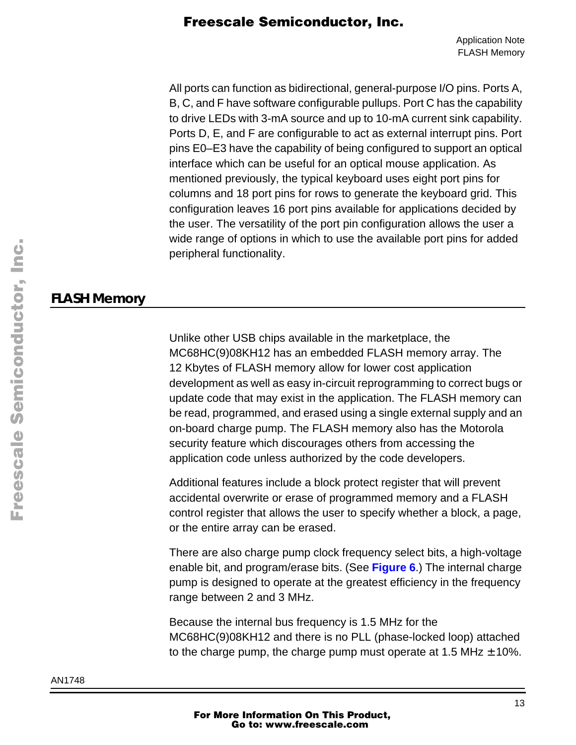All ports can function as bidirectional, general-purpose I/O pins. Ports A, B, C, and F have software configurable pullups. Port C has the capability to drive LEDs with 3-mA source and up to 10-mA current sink capability. Ports D, E, and F are configurable to act as external interrupt pins. Port pins E0–E3 have the capability of being configured to support an optical interface which can be useful for an optical mouse application. As mentioned previously, the typical keyboard uses eight port pins for columns and 18 port pins for rows to generate the keyboard grid. This configuration leaves 16 port pins available for applications decided by the user. The versatility of the port pin configuration allows the user a wide range of options in which to use the available port pins for added peripheral functionality.

### **FLASH Memory**

Unlike other USB chips available in the marketplace, the MC68HC(9)08KH12 has an embedded FLASH memory array. The 12 Kbytes of FLASH memory allow for lower cost application development as well as easy in-circuit reprogramming to correct bugs or update code that may exist in the application. The FLASH memory can be read, programmed, and erased using a single external supply and an on-board charge pump. The FLASH memory also has the Motorola security feature which discourages others from accessing the application code unless authorized by the code developers.

Additional features include a block protect register that will prevent accidental overwrite or erase of programmed memory and a FLASH control register that allows the user to specify whether a block, a page, or the entire array can be erased.

There are also charge pump clock frequency select bits, a high-voltage enable bit, and program/erase bits. (See **[Figure 6](#page-13-0)**.) The internal charge pump is designed to operate at the greatest efficiency in the frequency range between 2 and 3 MHz.

Because the internal bus frequency is 1.5 MHz for the MC68HC(9)08KH12 and there is no PLL (phase-locked loop) attached to the charge pump, the charge pump must operate at 1.5 MHz  $\pm$  10%.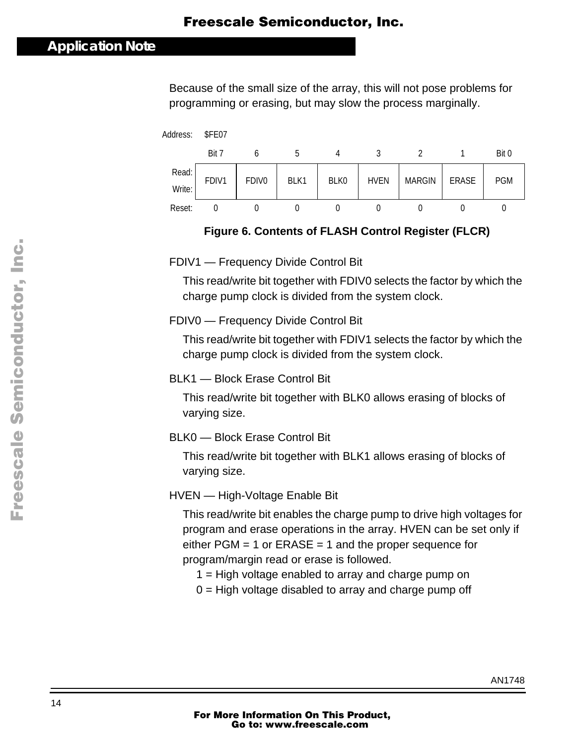### <span id="page-13-0"></span>**Application Note**

Because of the small size of the array, this will not pose problems for programming or erasing, but may slow the process marginally.



#### **Figure 6. Contents of FLASH Control Register (FLCR)**

FDIV1 — Frequency Divide Control Bit

This read/write bit together with FDIV0 selects the factor by which the charge pump clock is divided from the system clock.

#### FDIV0 — Frequency Divide Control Bit

This read/write bit together with FDIV1 selects the factor by which the charge pump clock is divided from the system clock.

#### BLK1 — Block Erase Control Bit

This read/write bit together with BLK0 allows erasing of blocks of varying size.

#### BLK0 — Block Erase Control Bit

This read/write bit together with BLK1 allows erasing of blocks of varying size.

HVEN — High-Voltage Enable Bit

This read/write bit enables the charge pump to drive high voltages for program and erase operations in the array. HVEN can be set only if either  $PGM = 1$  or  $ERASE = 1$  and the proper sequence for program/margin read or erase is followed.

- 1 = High voltage enabled to array and charge pump on
- $0 =$  High voltage disabled to array and charge pump off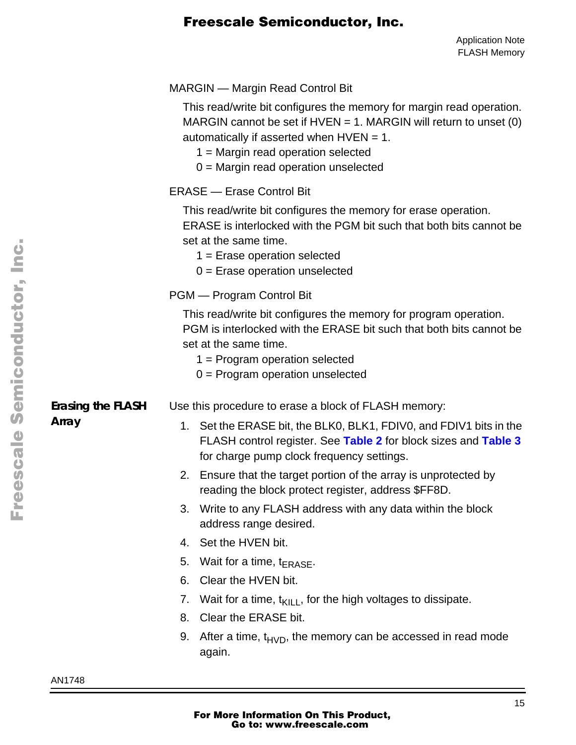|                          | <b>MARGIN</b> — Margin Read Control Bit                                                                                                                                                                                                                                       |  |  |
|--------------------------|-------------------------------------------------------------------------------------------------------------------------------------------------------------------------------------------------------------------------------------------------------------------------------|--|--|
|                          | This read/write bit configures the memory for margin read operation.<br>MARGIN cannot be set if $HVEN = 1$ . MARGIN will return to unset (0)<br>automatically if asserted when $HVEN = 1$ .<br>$1 =$ Margin read operation selected<br>$0 =$ Margin read operation unselected |  |  |
|                          | <b>ERASE</b> - Erase Control Bit                                                                                                                                                                                                                                              |  |  |
|                          | This read/write bit configures the memory for erase operation.<br>ERASE is interlocked with the PGM bit such that both bits cannot be<br>set at the same time.<br>$1 =$ Erase operation selected<br>$0 =$ Erase operation unselected                                          |  |  |
|                          | PGM — Program Control Bit                                                                                                                                                                                                                                                     |  |  |
|                          | This read/write bit configures the memory for program operation.<br>PGM is interlocked with the ERASE bit such that both bits cannot be<br>set at the same time.<br>$1 = Program operation selected$<br>$0 = Program operation$ unselected                                    |  |  |
| <b>Erasing the FLASH</b> | Use this procedure to erase a block of FLASH memory:                                                                                                                                                                                                                          |  |  |
| Array                    | 1. Set the ERASE bit, the BLK0, BLK1, FDIV0, and FDIV1 bits in the<br>FLASH control register. See Table 2 for block sizes and Table 3<br>for charge pump clock frequency settings.                                                                                            |  |  |
|                          | 2. Ensure that the target portion of the array is unprotected by<br>reading the block protect register, address \$FF8D.                                                                                                                                                       |  |  |
|                          | Write to any FLASH address with any data within the block<br>3.<br>address range desired.                                                                                                                                                                                     |  |  |
|                          | 4. Set the HVEN bit.                                                                                                                                                                                                                                                          |  |  |
|                          | 5. Wait for a time, $t_{ERASE}$ .                                                                                                                                                                                                                                             |  |  |
|                          | 6. Clear the HVEN bit.                                                                                                                                                                                                                                                        |  |  |
|                          | Wait for a time, $t_{\text{KILL}}$ , for the high voltages to dissipate.<br>7.                                                                                                                                                                                                |  |  |
|                          | Clear the ERASE bit.<br>8.                                                                                                                                                                                                                                                    |  |  |
|                          | After a time, $t_{\text{HVD}}$ , the memory can be accessed in read mode<br>9.<br>again.                                                                                                                                                                                      |  |  |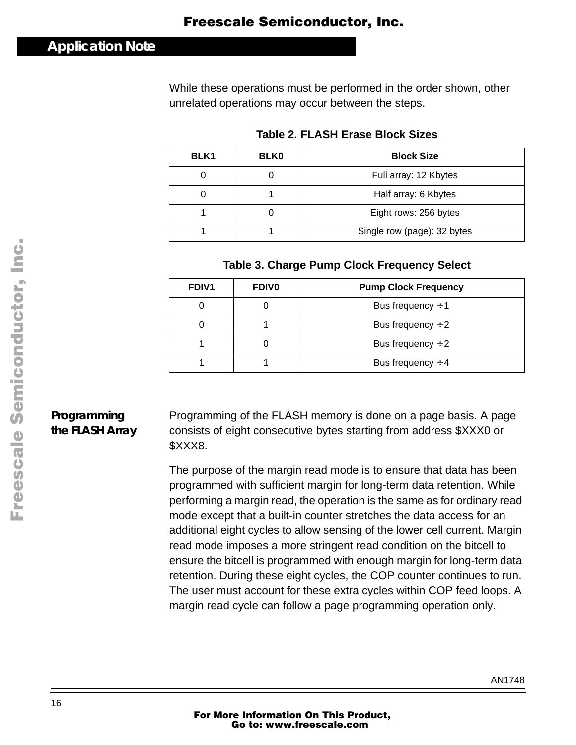### <span id="page-15-0"></span>**Application Note**

While these operations must be performed in the order shown, other unrelated operations may occur between the steps.

| BLK <sub>1</sub> | <b>BLK0</b> | <b>Block Size</b>           |  |  |
|------------------|-------------|-----------------------------|--|--|
|                  |             | Full array: 12 Kbytes       |  |  |
|                  |             | Half array: 6 Kbytes        |  |  |
|                  |             | Eight rows: 256 bytes       |  |  |
|                  |             | Single row (page): 32 bytes |  |  |

#### **Table 2. FLASH Erase Block Sizes**

#### **Table 3. Charge Pump Clock Frequency Select**

| <b>FDIV1</b> | <b>FDIVO</b> | <b>Pump Clock Frequency</b> |  |  |
|--------------|--------------|-----------------------------|--|--|
|              |              | Bus frequency $\div$ 1      |  |  |
|              |              | Bus frequency $\div 2$      |  |  |
|              |              | Bus frequency $\div 2$      |  |  |
|              |              | Bus frequency $\div$ 4      |  |  |

### **Programming the FLASH Array**

Programming of the FLASH memory is done on a page basis. A page consists of eight consecutive bytes starting from address \$XXX0 or \$XXX8.

The purpose of the margin read mode is to ensure that data has been programmed with sufficient margin for long-term data retention. While performing a margin read, the operation is the same as for ordinary read mode except that a built-in counter stretches the data access for an additional eight cycles to allow sensing of the lower cell current. Margin read mode imposes a more stringent read condition on the bitcell to ensure the bitcell is programmed with enough margin for long-term data retention. During these eight cycles, the COP counter continues to run. The user must account for these extra cycles within COP feed loops. A margin read cycle can follow a page programming operation only.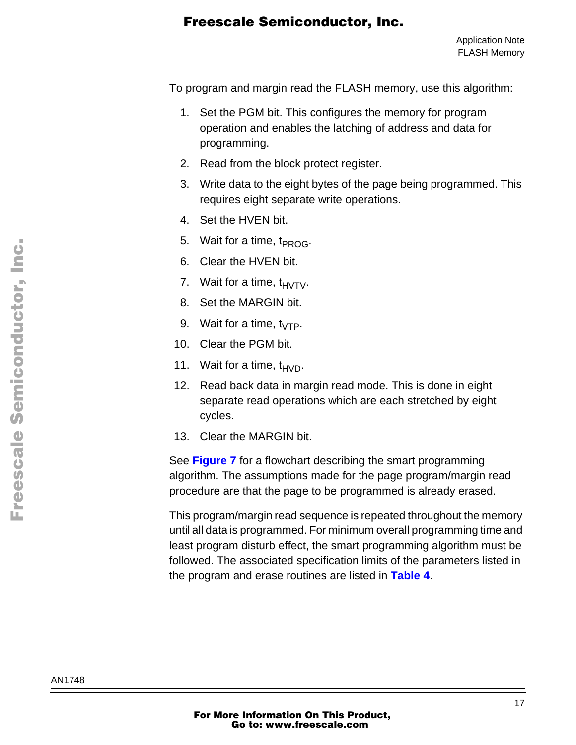To program and margin read the FLASH memory, use this algorithm:

- 1. Set the PGM bit. This configures the memory for program operation and enables the latching of address and data for programming.
- 2. Read from the block protect register.
- 3. Write data to the eight bytes of the page being programmed. This requires eight separate write operations.
- 4. Set the HVEN bit.
- 5. Wait for a time,  $t_{PROG}$ .
- 6. Clear the HVEN bit.
- 7. Wait for a time,  $t_{H\setminus T\setminus L}$ .
- 8. Set the MARGIN bit.
- 9. Wait for a time,  $t_{\sqrt{TP}}$ .
- 10. Clear the PGM bit.
- 11. Wait for a time,  $t_{HVD}$ .
- 12. Read back data in margin read mode. This is done in eight separate read operations which are each stretched by eight cycles.
- 13. Clear the MARGIN bit.

See **[Figure 7](#page-17-0)** for a flowchart describing the smart programming algorithm. The assumptions made for the page program/margin read procedure are that the page to be programmed is already erased.

This program/margin read sequence is repeated throughout the memory until all data is programmed. For minimum overall programming time and least program disturb effect, the smart programming algorithm must be followed. The associated specification limits of the parameters listed in the program and erase routines are listed in **[Table 4](#page-18-0)**.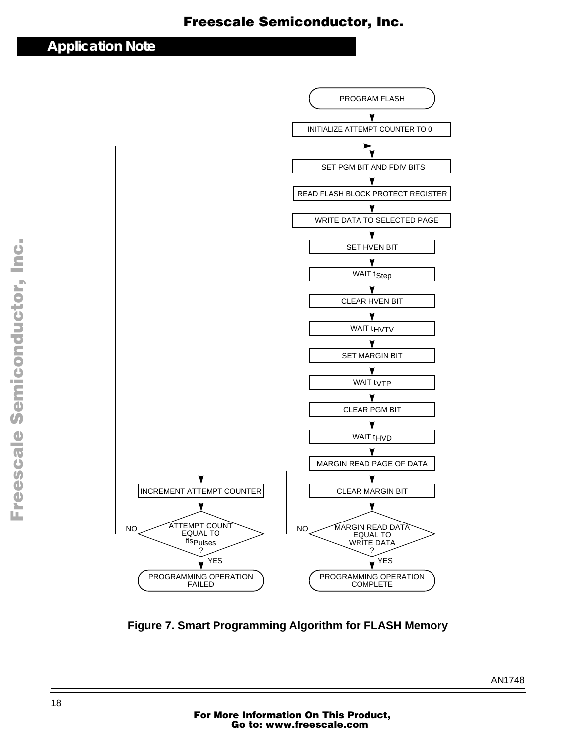### <span id="page-17-0"></span>**Application Note**



**Figure 7. Smart Programming Algorithm for FLASH Memory**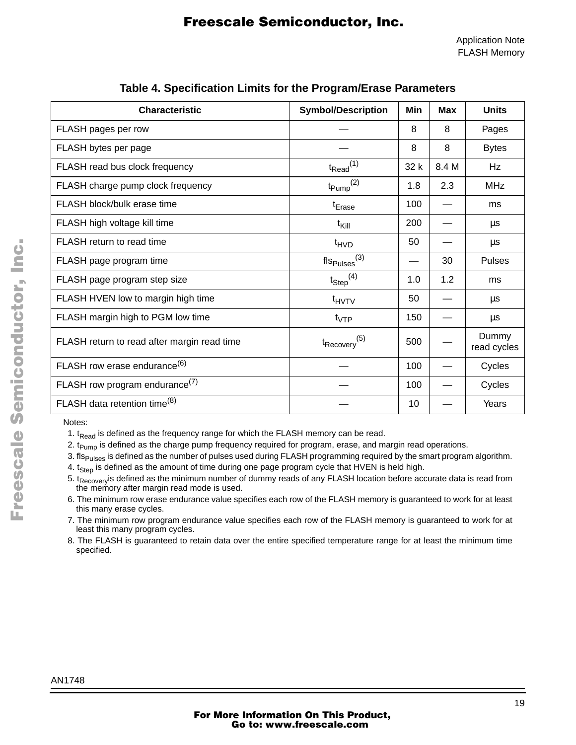<span id="page-18-0"></span>

| <b>Characteristic</b>                       | <b>Symbol/Description</b>   | Min  | <b>Max</b> | <b>Units</b>         |
|---------------------------------------------|-----------------------------|------|------------|----------------------|
| FLASH pages per row                         |                             | 8    | 8          | Pages                |
| FLASH bytes per page                        |                             | 8    | 8          | <b>Bytes</b>         |
| FLASH read bus clock frequency              | $t_{\text{Read}}^{(1)}$     | 32 k | 8.4 M      | Hz                   |
| FLASH charge pump clock frequency           | $t_{\text{Pump}}^{(2)}$     | 1.8  | 2.3        | <b>MHz</b>           |
| FLASH block/bulk erase time                 | t <sub>Erase</sub>          | 100  |            | ms                   |
| FLASH high voltage kill time                | $t_{\text{Kill}}$           | 200  |            | μs                   |
| FLASH return to read time                   | $t_{HVD}$                   | 50   |            | μs                   |
| FLASH page program time                     | $fls_{Pulses}(3)$           |      | 30         | <b>Pulses</b>        |
| FLASH page program step size                | $t_{Step}$ <sup>(4)</sup>   | 1.0  | 1.2        | ms                   |
| FLASH HVEN low to margin high time          | t <sub>HVTV</sub>           | 50   |            | μs                   |
| FLASH margin high to PGM low time           | $t_{VTP}$                   | 150  |            | $\mu s$              |
| FLASH return to read after margin read time | $t_{\text{Recovery}}^{(5)}$ | 500  |            | Dummy<br>read cycles |
| FLASH row erase endurance <sup>(6)</sup>    |                             | 100  |            | Cycles               |
| FLASH row program endurance <sup>(7)</sup>  |                             | 100  |            | Cycles               |
| FLASH data retention time <sup>(8)</sup>    |                             | 10   |            | Years                |

#### **Table 4. Specification Limits for the Program/Erase Parameters**

Notes:

- 1.  $t_{\text{Read}}$  is defined as the frequency range for which the FLASH memory can be read.
- 2.  $t_{Pump}$  is defined as the charge pump frequency required for program, erase, and margin read operations.
- 3. fls<sub>Pulses</sub> is defined as the number of pulses used during FLASH programming required by the smart program algorithm.
- 4. t<sub>Step</sub> is defined as the amount of time during one page program cycle that HVEN is held high.
- 5. t<sub>Recovery</sub> is defined as the minimum number of dummy reads of any FLASH location before accurate data is read from the memory after margin read mode is used.
- 6. The minimum row erase endurance value specifies each row of the FLASH memory is guaranteed to work for at least this many erase cycles.
- 7. The minimum row program endurance value specifies each row of the FLASH memory is guaranteed to work for at least this many program cycles.
- 8. The FLASH is guaranteed to retain data over the entire specified temperature range for at least the minimum time specified.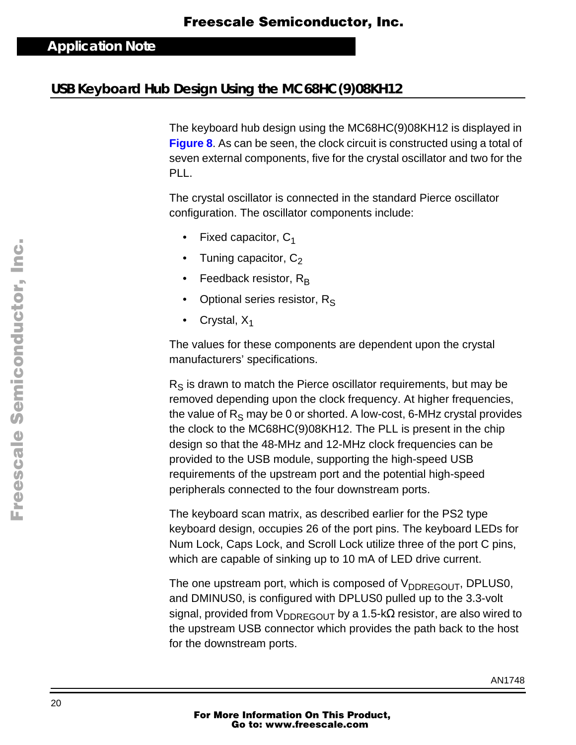### **USB Keyboard Hub Design Using the MC68HC(9)08KH12**

The keyboard hub design using the MC68HC(9)08KH12 is displayed in **[Figure 8](#page-21-0)**. As can be seen, the clock circuit is constructed using a total of seven external components, five for the crystal oscillator and two for the PLL.

The crystal oscillator is connected in the standard Pierce oscillator configuration. The oscillator components include:

- Fixed capacitor,  $C_1$
- Tuning capacitor, C<sub>2</sub>
- Feedback resistor,  $R_B$
- Optional series resistor, R<sub>S</sub>
- Crystal,  $X_1$

The values for these components are dependent upon the crystal manufacturers' specifications.

 $R<sub>S</sub>$  is drawn to match the Pierce oscillator requirements, but may be removed depending upon the clock frequency. At higher frequencies, the value of  $R<sub>S</sub>$  may be 0 or shorted. A low-cost, 6-MHz crystal provides the clock to the MC68HC(9)08KH12. The PLL is present in the chip design so that the 48-MHz and 12-MHz clock frequencies can be provided to the USB module, supporting the high-speed USB requirements of the upstream port and the potential high-speed peripherals connected to the four downstream ports.

The keyboard scan matrix, as described earlier for the PS2 type keyboard design, occupies 26 of the port pins. The keyboard LEDs for Num Lock, Caps Lock, and Scroll Lock utilize three of the port C pins, which are capable of sinking up to 10 mA of LED drive current.

The one upstream port, which is composed of  $V_{\text{DDREGOUT}}$ , DPLUS0, and DMINUS0, is configured with DPLUS0 pulled up to the 3.3-volt signal, provided from  $V_{\text{DDREGOUT}}$  by a 1.5-k $\Omega$  resistor, are also wired to the upstream USB connector which provides the path back to the host for the downstream ports.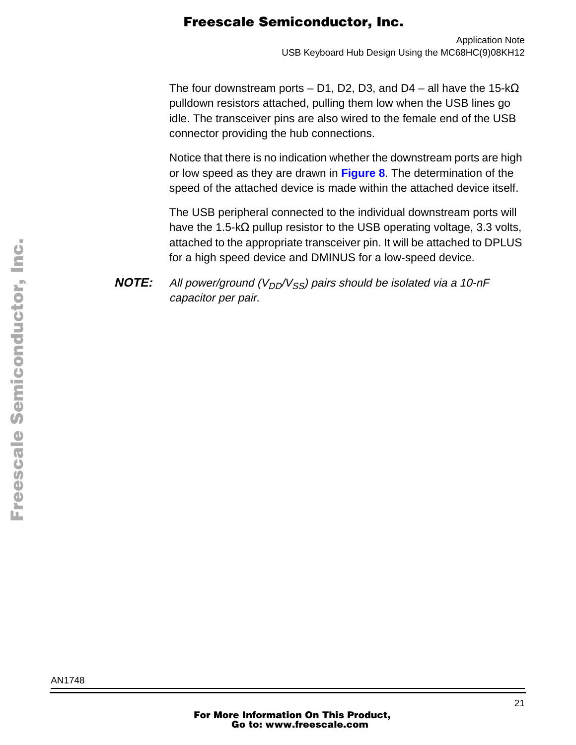The four downstream ports – D1, D2, D3, and D4 – all have the 15-k $\Omega$ pulldown resistors attached, pulling them low when the USB lines go idle. The transceiver pins are also wired to the female end of the USB connector providing the hub connections.

Notice that there is no indication whether the downstream ports are high or low speed as they are drawn in **[Figure 8](#page-21-0)**. The determination of the speed of the attached device is made within the attached device itself.

The USB peripheral connected to the individual downstream ports will have the 1.5-kΩ pullup resistor to the USB operating voltage, 3.3 volts, attached to the appropriate transceiver pin. It will be attached to DPLUS for a high speed device and DMINUS for a low-speed device.

**NOTE:** All power/ground ( $V_{DD}/V_{SS}$ ) pairs should be isolated via a 10-nF capacitor per pair.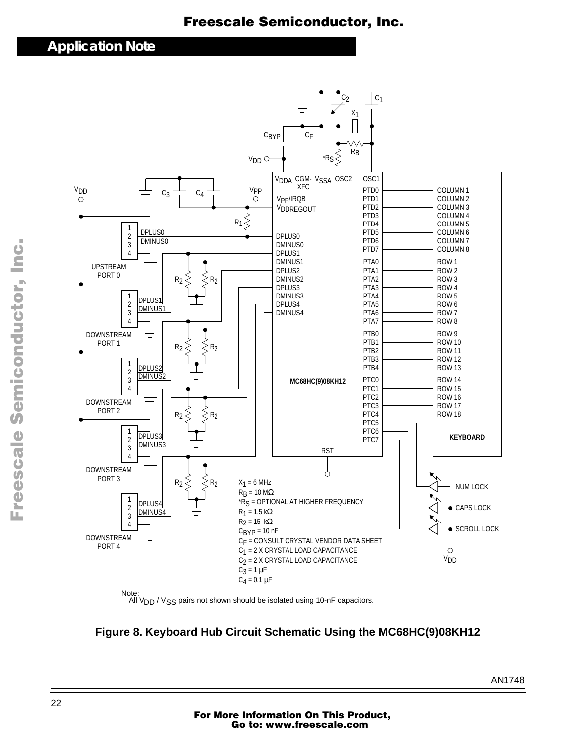### <span id="page-21-0"></span>**Application Note**



All V<sub>DD</sub> / V<sub>SS</sub> pairs not shown should be isolated using 10-nF capacitors.

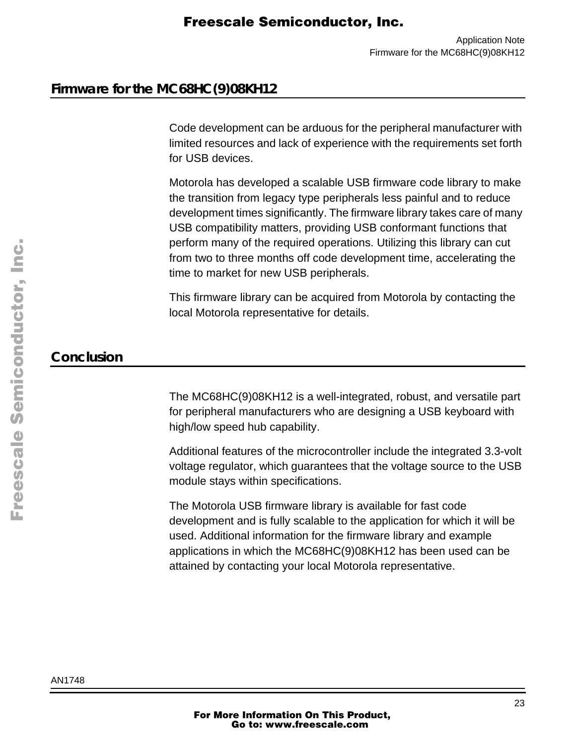### **Firmware for the MC68HC(9)08KH12**

Code development can be arduous for the peripheral manufacturer with limited resources and lack of experience with the requirements set forth for USB devices.

Motorola has developed a scalable USB firmware code library to make the transition from legacy type peripherals less painful and to reduce development times significantly. The firmware library takes care of many USB compatibility matters, providing USB conformant functions that perform many of the required operations. Utilizing this library can cut from two to three months off code development time, accelerating the time to market for new USB peripherals.

This firmware library can be acquired from Motorola by contacting the local Motorola representative for details.

### **Conclusion**

The MC68HC(9)08KH12 is a well-integrated, robust, and versatile part for peripheral manufacturers who are designing a USB keyboard with high/low speed hub capability.

Additional features of the microcontroller include the integrated 3.3-volt voltage regulator, which guarantees that the voltage source to the USB module stays within specifications.

The Motorola USB firmware library is available for fast code development and is fully scalable to the application for which it will be used. Additional information for the firmware library and example applications in which the MC68HC(9)08KH12 has been used can be attained by contacting your local Motorola representative.